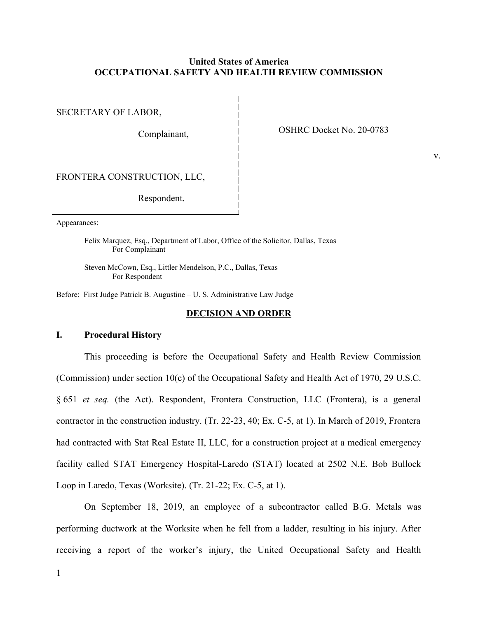# **United States of America OCCUPATIONAL SAFETY AND HEALTH REVIEW COMMISSION**

SECRETARY OF LABOR,

OSHRC Docket No. 20-0783 Complainant,

v.

FRONTERA CONSTRUCTION, LLC,

Respondent.

Appearances:

Felix Marquez, Esq., Department of Labor, Office of the Solicitor, Dallas, Texas For Complainant

Steven McCown, Esq., Littler Mendelson, P.C., Dallas, Texas For Respondent

Before: First Judge Patrick B. Augustine – U. S. Administrative Law Judge

# **DECISION AND ORDER**

# **I. Procedural History**

 This proceeding is before the Occupational Safety and Health Review Commission (Commission) under section 10(c) of the Occupational Safety and Health Act of 1970, 29 U.S.C. § 651 *et seq.* (the Act). Respondent, Frontera Construction, LLC (Frontera), is a general contractor in the construction industry. (Tr. 22-23, 40; Ex. C-5, at 1). In March of 2019, Frontera had contracted with Stat Real Estate II, LLC, for a construction project at a medical emergency facility called STAT Emergency Hospital-Laredo (STAT) located at 2502 N.E. Bob Bullock Loop in Laredo, Texas (Worksite). (Tr. 21-22; Ex. C-5, at 1).

 On September 18, 2019, an employee of a subcontractor called B.G. Metals was performing ductwork at the Worksite when he fell from a ladder, resulting in his injury. After receiving a report of the worker's injury, the United Occupational Safety and Health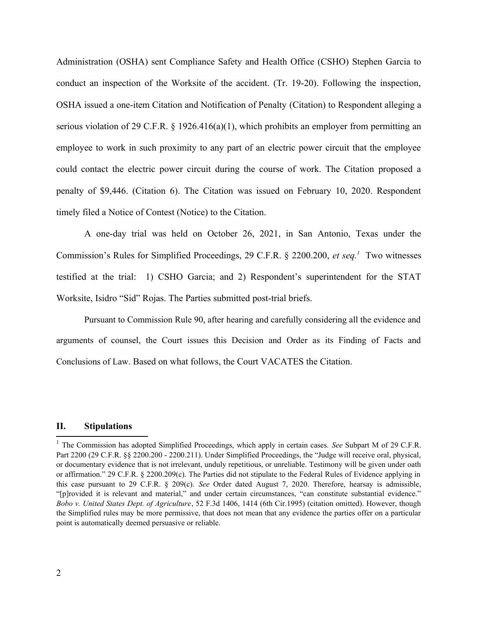Administration (OSHA) sent Compliance Safety and Health Office (CSHO) Stephen Garcia to conduct an inspection of the Worksite of the accident. (Tr. 19-20). Following the inspection, OSHA issued a one-item Citation and Notification of Penalty (Citation) to Respondent alleging a serious violation of 29 C.F.R. § 1926.416(a)(1), which prohibits an employer from permitting an employee to work in such proximity to any part of an electric power circuit that the employee could contact the electric power circuit during the course of work. The Citation proposed a penalty of \$9,446. (Citation 6). The Citation was issued on February 10, 2020. Respondent timely filed a Notice of Contest (Notice) to the Citation.

<span id="page-1-0"></span> A one-day trial was held on October 26, 2021, in San Antonio, Texas under the Commission's Rules for Simplified Proceedings, 29 C.F.R. § 2200.200, *et seq[.1](#page-1-1)* Two witnesses testified at the trial: 1) CSHO Garcia; and 2) Respondent's superintendent for the STAT Worksite, Isidro "Sid" Rojas. The Parties submitted post-trial briefs.

 Pursuant to Commission Rule 90, after hearing and carefully considering all the evidence and arguments of counsel, the Court issues this Decision and Order as its Finding of Facts and Conclusions of Law. Based on what follows, the Court VACATES the Citation.

# **II. Stipulations**

<span id="page-1-1"></span><sup>&</sup>lt;sup>[1](#page-1-0)</sup> The Commission has adopted Simplified Proceedings, which apply in certain cases. *See* Subpart M of 29 C.F.R. or documentary evidence that is not irrelevant, unduly repetitious, or unreliable. Testimony will be given under oath or affirmation." 29 C.F.R. § 2200.209(c). The Parties did not stipulate to the Federal Rules of Evidence applying in this case pursuant to 29 C.F.R. § 209(c). *See* Order dated August 7, 2020. Therefore, hearsay is admissible, "[p]rovided it is relevant and material," and under certain circumstances, "can constitute substantial evidence."  *Bobo v. United States Dept. of Agriculture*, 52 F.3d 1406, 1414 (6th Cir.1995) (citation omitted). However, though the Simplified rules may be more permissive, that does not mean that any evidence the parties offer on a particular Part 2200 (29 C.F.R. §§ 2200.200 - 2200.211). Under Simplified Proceedings, the "Judge will receive oral, physical, point is automatically deemed persuasive or reliable.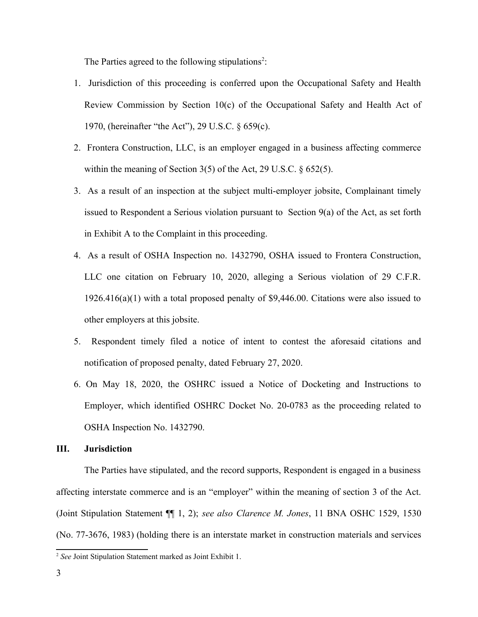<span id="page-2-0"></span>The Parties agreed to the following stipulations<sup>2</sup>:

- 1. Jurisdiction of this proceeding is conferred upon the Occupational Safety and Health Review Commission by Section 10(c) of the Occupational Safety and Health Act of 1970, (hereinafter "the Act"), 29 U.S.C. § 659(c).
- 2. Frontera Construction, LLC, is an employer engaged in a business affecting commerce within the meaning of Section 3(5) of the Act, 29 U.S.C. § 652(5).
- 3. As a result of an inspection at the subject multi-employer jobsite, Complainant timely issued to Respondent a Serious violation pursuant to Section 9(a) of the Act, as set forth in Exhibit A to the Complaint in this proceeding.
- 4. As a result of OSHA Inspection no. 1432790, OSHA issued to Frontera Construction, LLC one citation on February 10, 2020, alleging a Serious violation of 29 C.F.R. 1926.416(a)(1) with a total proposed penalty of \$9,446.00. Citations were also issued to other employers at this jobsite.
- 5. Respondent timely filed a notice of intent to contest the aforesaid citations and notification of proposed penalty, dated February 27, 2020.
- 6. On May 18, 2020, the OSHRC issued a Notice of Docketing and Instructions to Employer, which identified OSHRC Docket No. 20-0783 as the proceeding related to OSHA Inspection No. 1432790.

### **III. Jurisdiction**

 The Parties have stipulated, and the record supports, Respondent is engaged in a business affecting interstate commerce and is an "employer" within the meaning of section 3 of the Act. (Joint Stipulation Statement ¶¶ 1, 2); *see also Clarence M. Jones*, 11 BNA OSHC 1529, 1530 (No. 77-3676, 1983) (holding there is an interstate market in construction materials and services

<span id="page-2-1"></span>[<sup>2</sup>](#page-2-0) *See* Joint Stipulation Statement marked as Joint Exhibit 1.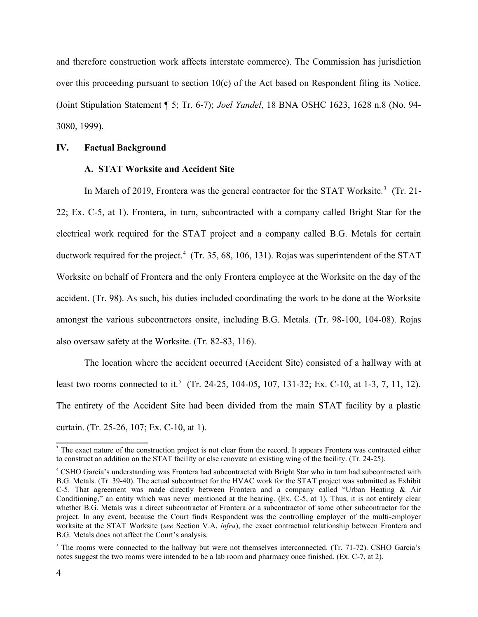and therefore construction work affects interstate commerce). The Commission has jurisdiction over this proceeding pursuant to section 10(c) of the Act based on Respondent filing its Notice. (Joint Stipulation Statement ¶ 5; Tr. 6-7); *Joel Yandel*, 18 BNA OSHC 1623, 1628 n.8 (No. 94- 3080, 1999).

# **IV. Factual Background**

# <span id="page-3-2"></span><span id="page-3-0"></span>**A. STAT Worksite and Accident Site**

In March of 2019, Frontera was the general contractor for the STAT Worksite.<sup>[3](#page-3-1)</sup> (Tr. 21- 22; Ex. C-5, at 1). Frontera, in turn, subcontracted with a company called Bright Star for the electrical work required for the STAT project and a company called B.G. Metals for certain Worksite on behalf of Frontera and the only Frontera employee at the Worksite on the day of the accident. (Tr. 98). As such, his duties included coordinating the work to be done at the Worksite amongst the various subcontractors onsite, including B.G. Metals. (Tr. 98-100, 104-08). Rojas ductwork required for the project.<sup>4</sup> (Tr. 35, 68, 106, 131). Rojas was superintendent of the STAT also oversaw safety at the Worksite. (Tr. 82-83, 116).

<span id="page-3-4"></span> The location where the accident occurred (Accident Site) consisted of a hallway with at least two rooms connected to it.<sup>[5](#page-3-5)</sup> (Tr. 24-25, 104-05, 107, 131-32; Ex. C-10, at 1-3, 7, 11, 12). The entirety of the Accident Site had been divided from the main STAT facility by a plastic curtain. (Tr. 25-26, 107; Ex. C-10, at 1).

<span id="page-3-1"></span> $3$  The exact nature of the construction project is not clear from the record. It appears Frontera was contracted either to construct an addition on the STAT facility or else renovate an existing wing of the facility. (Tr. 24-25).

<span id="page-3-3"></span> B.G. Metals. (Tr. 39-40). The actual subcontract for the HVAC work for the STAT project was submitted as Exhibit C-5. That agreement was made directly between Frontera and a company called "Urban Heating & Air Conditioning," an entity which was never mentioned at the hearing. (Ex. C-5, at 1). Thus, it is not entirely clear whether B.G. Metals was a direct subcontractor of Frontera or a subcontractor of some other subcontractor for the project. In any event, because the Court finds Respondent was the controlling employer of the multi-employer worksite at the STAT Worksite (*see* Section V.A, *infra*), the exact contractual relationship between Frontera and [4](#page-3-2) CSHO Garcia's understanding was Frontera had subcontracted with Bright Star who in turn had subcontracted with B.G. Metals does not affect the Court's analysis.

<span id="page-3-5"></span> $5$  The rooms were connected to the hallway but were not themselves interconnected. (Tr. 71-72). CSHO Garcia's notes suggest the two rooms were intended to be a lab room and pharmacy once finished. (Ex. C-7, at 2).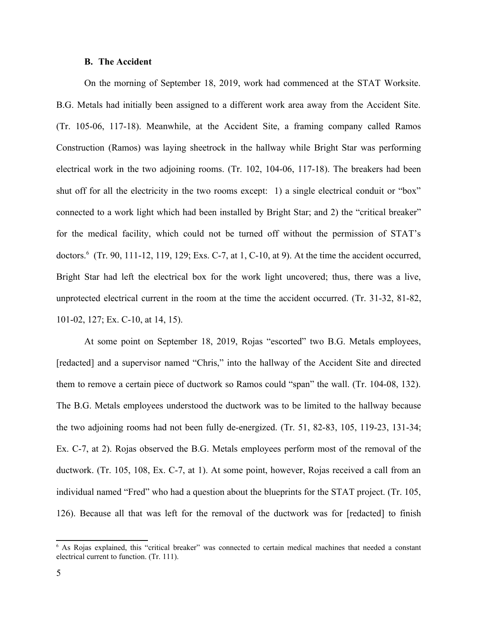# **B. The Accident**

 On the morning of September 18, 2019, work had commenced at the STAT Worksite. B.G. Metals had initially been assigned to a different work area away from the Accident Site. (Tr. 105-06, 117-18). Meanwhile, at the Accident Site, a framing company called Ramos Construction (Ramos) was laying sheetrock in the hallway while Bright Star was performing electrical work in the two adjoining rooms. (Tr. 102, 104-06, 117-18). The breakers had been shut off for all the electricity in the two rooms except: 1) a single electrical conduit or "box" connected to a work light which had been installed by Bright Star; and 2) the "critical breaker" for the medical facility, which could not be turned off without the permission of STAT's Bright Star had left the electrical box for the work light uncovered; thus, there was a live, unprotected electrical current in the room at the time the accident occurred. (Tr. 31-32, 81-82, doctors[.6](#page-4-1) (Tr. 90, 111-12, 119, 129; Exs. C-7, at 1, C-10, at 9). At the time the accident occurred, 101-02, 127; Ex. C-10, at 14, 15).

<span id="page-4-0"></span> At some point on September 18, 2019, Rojas "escorted" two B.G. Metals employees, [redacted] and a supervisor named "Chris," into the hallway of the Accident Site and directed them to remove a certain piece of ductwork so Ramos could "span" the wall. (Tr. 104-08, 132). The B.G. Metals employees understood the ductwork was to be limited to the hallway because the two adjoining rooms had not been fully de-energized. (Tr. 51, 82-83, 105, 119-23, 131-34; Ex. C-7, at 2). Rojas observed the B.G. Metals employees perform most of the removal of the ductwork. (Tr. 105, 108, Ex. C-7, at 1). At some point, however, Rojas received a call from an individual named "Fred" who had a question about the blueprints for the STAT project. (Tr. 105, 126). Because all that was left for the removal of the ductwork was for [redacted] to finish

<span id="page-4-1"></span> [6](#page-4-0) As Rojas explained, this "critical breaker" was connected to certain medical machines that needed a constant electrical current to function. (Tr. 111).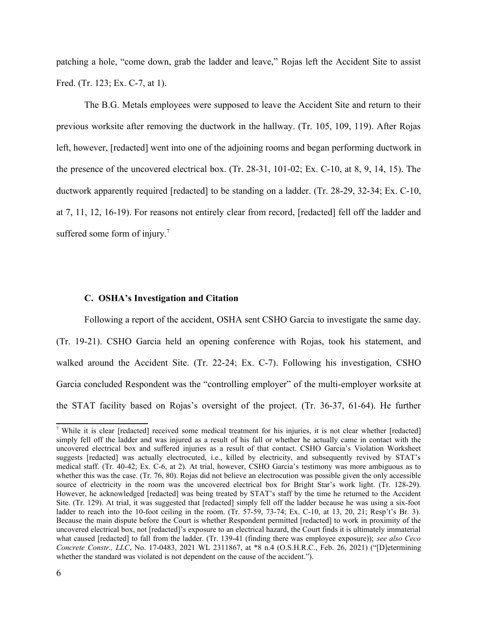patching a hole, "come down, grab the ladder and leave," Rojas left the Accident Site to assist Fred. (Tr. 123; Ex. C-7, at 1).

 The B.G. Metals employees were supposed to leave the Accident Site and return to their previous worksite after removing the ductwork in the hallway. (Tr. 105, 109, 119). After Rojas the presence of the uncovered electrical box. (Tr. 28-31, 101-02; Ex. C-10, at 8, 9, 14, 15). The ductwork apparently required [redacted] to be standing on a ladder. (Tr. 28-29, 32-34; Ex. C-10, at 7, 11, 12, 16-19). For reasons not entirely clear from record, [redacted] fell off the ladder and left, however, [redacted] went into one of the adjoining rooms and began performing ductwork in suffered some form of injury.<sup>[7](#page-5-1)</sup>

#### <span id="page-5-0"></span>**C. OSHA's Investigation and Citation**

 Following a report of the accident, OSHA sent CSHO Garcia to investigate the same day. (Tr. 19-21). CSHO Garcia held an opening conference with Rojas, took his statement, and walked around the Accident Site. (Tr. 22-24; Ex. C-7). Following his investigation, CSHO Garcia concluded Respondent was the "controlling employer" of the multi-employer worksite at the STAT facility based on Rojas's oversight of the project. (Tr. 36-37, 61-64). He further

<span id="page-5-1"></span><sup>&</sup>lt;sup>[7](#page-5-0)</sup> While it is clear [redacted] received some medical treatment for his injuries, it is not clear whether [redacted] simply fell off the ladder and was injured as a result of his fall or whether he actually came in contact with the uncovered electrical box and suffered injuries as a result of that contact. CSHO Garcia's Violation Worksheet suggests [redacted] was actually electrocuted, i.e., killed by electricity, and subsequently revived by STAT's medical staff. (Tr. 40-42; Ex. C-6, at 2). At trial, however, CSHO Garcia's testimony was more ambiguous as to whether this was the case. (Tr. 76, 80). Rojas did not believe an electrocution was possible given the only accessible source of electricity in the room was the uncovered electrical box for Bright Star's work light. (Tr. 128-29). However, he acknowledged [redacted] was being treated by STAT's staff by the time he returned to the Accident Site. (Tr. 129). At trial, it was suggested that [redacted] simply fell off the ladder because he was using a six-foot ladder to reach into the 10-foot ceiling in the room. (Tr. 57-59, 73-74; Ex. C-10, at 13, 20, 21; Resp't's Br. 3). Because the main dispute before the Court is whether Respondent permitted [redacted] to work in proximity of the uncovered electrical box, not [redacted]'s exposure to an electrical hazard, the Court finds it is ultimately immaterial what caused [redacted] to fall from the ladder. (Tr. 139-41 (finding there was employee exposure)); *see also Ceco Concrete Constr., LLC*, No. 17-0483, 2021 WL 2311867, at \*8 n.4 (O.S.H.R.C., Feb. 26, 2021) ("[D]etermining whether the standard was violated is not dependent on the cause of the accident.").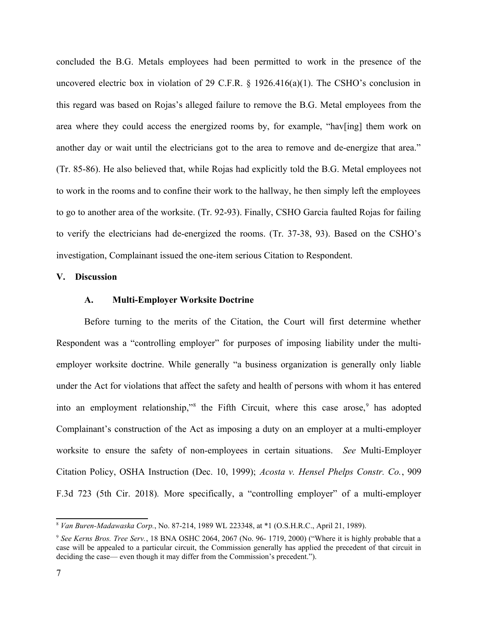concluded the B.G. Metals employees had been permitted to work in the presence of the uncovered electric box in violation of 29 C.F.R.  $\S$  1926.416(a)(1). The CSHO's conclusion in this regard was based on Rojas's alleged failure to remove the B.G. Metal employees from the area where they could access the energized rooms by, for example, "hav[ing] them work on another day or wait until the electricians got to the area to remove and de-energize that area." (Tr. 85-86). He also believed that, while Rojas had explicitly told the B.G. Metal employees not to work in the rooms and to confine their work to the hallway, he then simply left the employees to go to another area of the worksite. (Tr. 92-93). Finally, CSHO Garcia faulted Rojas for failing to verify the electricians had de-energized the rooms. (Tr. 37-38, 93). Based on the CSHO's investigation, Complainant issued the one-item serious Citation to Respondent.

# **V. Discussion**

#### <span id="page-6-2"></span><span id="page-6-0"></span>**A. Multi-Employer Worksite Doctrine**

 Before turning to the merits of the Citation, the Court will first determine whether Respondent was a "controlling employer" for purposes of imposing liability under the multi- employer worksite doctrine. While generally "a business organization is generally only liable under the Act for violations that affect the safety and health of persons with whom it has entered into an employment relationship,"<sup>8</sup> the Fifth Circuit, where this case arose,  $9$  has adopted Complainant's construction of the Act as imposing a duty on an employer at a multi-employer worksite to ensure the safety of non-employees in certain situations. *See* Multi-Employer Citation Policy, OSHA Instruction (Dec. 10, 1999); *Acosta v. Hensel Phelps Constr. Co.*, 909 F.3d 723 (5th Cir. 2018)*.* More specifically, a "controlling employer" of a multi-employer

<span id="page-6-1"></span>[<sup>8</sup>](#page-6-0) *Van Buren-Madawaska Corp.*, No. 87-214, 1989 WL 223348, at \*1 (O.S.H.R.C., April 21, 1989).

<span id="page-6-3"></span><sup>&</sup>lt;sup>[9](#page-6-2)</sup> See Kerns Bros. Tree Serv., 18 BNA OSHC 2064, 2067 (No. 96-1719, 2000) ("Where it is highly probable that a case will be appealed to a particular circuit, the Commission generally has applied the precedent of that circuit in deciding the case— even though it may differ from the Commission's precedent.").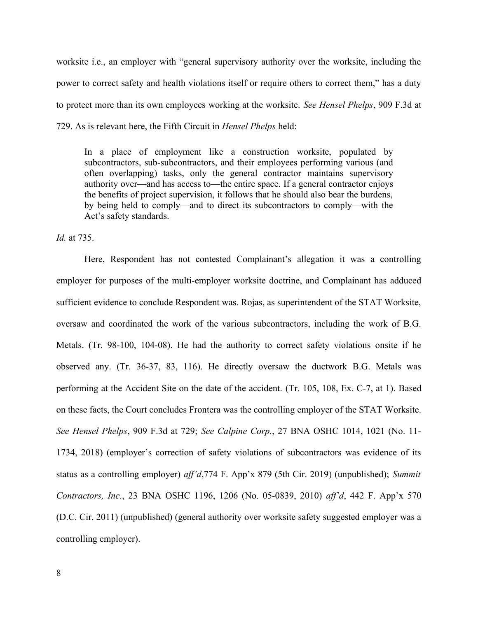worksite i.e., an employer with "general supervisory authority over the worksite, including the power to correct safety and health violations itself or require others to correct them," has a duty to protect more than its own employees working at the worksite. *See Hensel Phelps*, 909 F.3d at 729. As is relevant here, the Fifth Circuit in *Hensel Phelps* held:

 In a place of employment like a construction worksite, populated by subcontractors, sub-subcontractors, and their employees performing various (and often overlapping) tasks, only the general contractor maintains supervisory authority over—and has access to—the entire space. If a general contractor enjoys the benefits of project supervision, it follows that he should also bear the burdens, by being held to comply—and to direct its subcontractors to comply—with the Act's safety standards.

*Id.* at 735.

 Here, Respondent has not contested Complainant's allegation it was a controlling employer for purposes of the multi-employer worksite doctrine, and Complainant has adduced oversaw and coordinated the work of the various subcontractors, including the work of B.G. Metals. (Tr. 98-100, 104-08). He had the authority to correct safety violations onsite if he observed any. (Tr. 36-37, 83, 116). He directly oversaw the ductwork B.G. Metals was performing at the Accident Site on the date of the accident. (Tr. 105, 108, Ex. C-7, at 1). Based  *See Hensel Phelps*, 909 F.3d at 729; *See Calpine Corp.*, 27 BNA OSHC 1014, 1021 (No. 11- 1734, 2018) (employer's correction of safety violations of subcontractors was evidence of its status as a controlling employer) *aff'd*,774 F. App'x 879 (5th Cir. 2019) (unpublished); *Summit Contractors, Inc.*, 23 BNA OSHC 1196, 1206 (No. 05-0839, 2010) *aff'd*, 442 F. App'x 570 (D.C. Cir. 2011) (unpublished) (general authority over worksite safety suggested employer was a sufficient evidence to conclude Respondent was. Rojas, as superintendent of the STAT Worksite, on these facts, the Court concludes Frontera was the controlling employer of the STAT Worksite. controlling employer).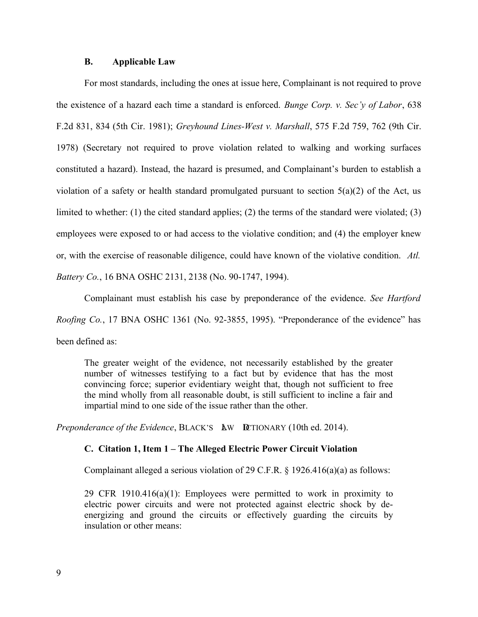# **B. Applicable Law**

 For most standards, including the ones at issue here, Complainant is not required to prove the existence of a hazard each time a standard is enforced. *Bunge Corp. v. Sec'y of Labor*, 638 F.2d 831, 834 (5th Cir. 1981); *Greyhound Lines-West v. Marshall*, 575 F.2d 759, 762 (9th Cir. 1978) (Secretary not required to prove violation related to walking and working surfaces constituted a hazard). Instead, the hazard is presumed, and Complainant's burden to establish a violation of a safety or health standard promulgated pursuant to section 5(a)(2) of the Act, us limited to whether: (1) the cited standard applies; (2) the terms of the standard were violated; (3) employees were exposed to or had access to the violative condition; and (4) the employer knew or, with the exercise of reasonable diligence, could have known of the violative condition. *Atl. Battery Co.*, 16 BNA OSHC 2131, 2138 (No. 90-1747, 1994).

 Complainant must establish his case by preponderance of the evidence. *See Hartford Roofing Co.*, 17 BNA OSHC 1361 (No. 92-3855, 1995). "Preponderance of the evidence" has been defined as:

 The greater weight of the evidence, not necessarily established by the greater number of witnesses testifying to a fact but by evidence that has the most convincing force; superior evidentiary weight that, though not sufficient to free the mind wholly from all reasonable doubt, is still sufficient to incline a fair and impartial mind to one side of the issue rather than the other.

*Preponderance of the Evidence*, BLACK'S **AW DUTIONARY** (10th ed. 2014).

#### **C. Citation 1, Item 1 – The Alleged Electric Power Circuit Violation**

Complainant alleged a serious violation of 29 C.F.R. § 1926.416(a)(a) as follows:

29 CFR 1910.416 $(a)(1)$ : Employees were permitted to work in proximity to electric power circuits and were not protected against electric shock by de- energizing and ground the circuits or effectively guarding the circuits by insulation or other means: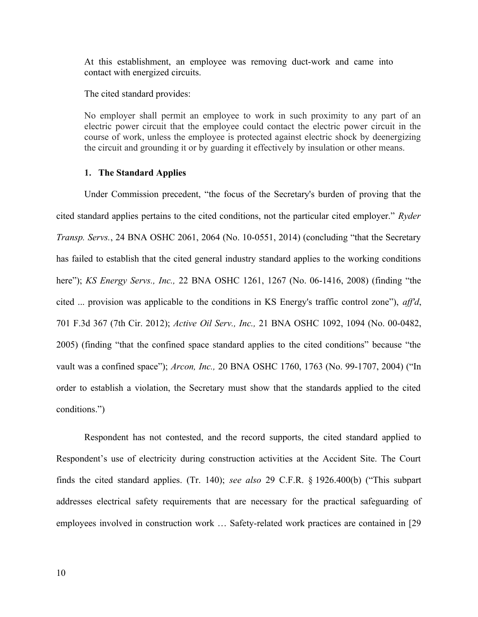At this establishment, an employee was removing duct-work and came into contact with energized circuits.

The cited standard provides:

The cited standard provides:<br>No employer shall permit an employee to work in such proximity to any part of an electric power circuit that the employee could contact the electric power circuit in the course of work, unless the employee is protected against electric shock by deenergizing the circuit and grounding it or by guarding it effectively by insulation or other means.

#### **1. The Standard Applies**

 Under Commission precedent, "the focus of the Secretary's burden of proving that the cited standard applies pertains to the cited conditions, not the particular cited employer." *Ryder Transp. Servs.*, 24 BNA OSHC 2061, 2064 (No. 10-0551, 2014) (concluding "that the Secretary has failed to establish that the cited general industry standard applies to the working conditions  here"); *KS Energy Servs., Inc.,* 22 BNA OSHC 1261, 1267 (No. 06-1416, 2008) (finding "the cited ... provision was applicable to the conditions in KS Energy's traffic control zone"), *aff'd*, 701 F.3d 367 (7th Cir. 2012); *Active Oil Serv., Inc.,* 21 BNA OSHC 1092, 1094 (No. 00-0482, 2005) (finding "that the confined space standard applies to the cited conditions" because "the vault was a confined space"); *Arcon, Inc.,* 20 BNA OSHC 1760, 1763 (No. 99-1707, 2004) ("In order to establish a violation, the Secretary must show that the standards applied to the cited conditions.")

 Respondent has not contested, and the record supports, the cited standard applied to Respondent's use of electricity during construction activities at the Accident Site. The Court finds the cited standard applies. (Tr. 140); *see also* 29 C.F.R. § 1926.400(b) ("This subpart addresses electrical safety requirements that are necessary for the practical safeguarding of employees involved in construction work … Safety-related work practices are contained in [29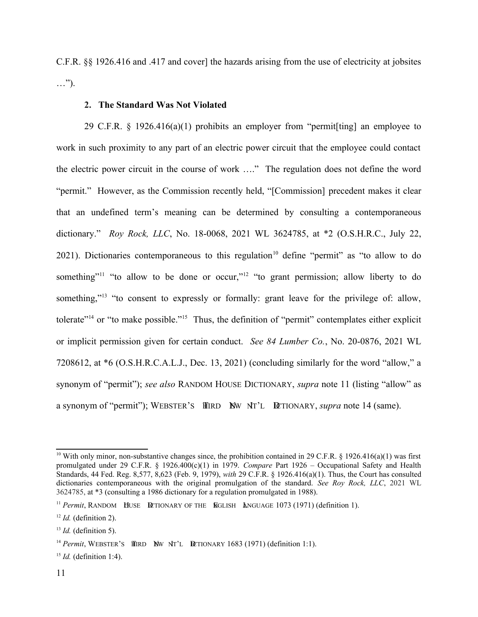C.F.R. §§ 1926.416 and .417 and cover] the hazards arising from the use of electricity at jobsites …").

## <span id="page-10-4"></span><span id="page-10-0"></span>**2. The Standard Was Not Violated**

<span id="page-10-6"></span><span id="page-10-2"></span> 29 C.F.R. § 1926.416(a)(1) prohibits an employer from "permit[ting] an employee to work in such proximity to any part of an electric power circuit that the employee could contact the electric power circuit in the course of work …." The regulation does not define the word "permit." However, as the Commission recently held, "[Commission] precedent makes it clear that an undefined term's meaning can be determined by consulting a contemporaneous  dictionary." *Roy Rock, LLC*, No. 18-0068, 2021 WL 3624785, at \*2 (O.S.H.R.C., July 22, 2021). Dictionaries contemporaneous to this regulation<sup>10</sup> define "permit" as "to allow to do something"<sup>11</sup> "to allow to be done or occur,"<sup>12</sup> "to grant permission; allow liberty to do something,"<sup>13</sup> "to consent to expressly or formally: grant leave for the privilege of: allow, tolerate<sup> $14$ </sup> or "to make possible."<sup>15</sup> Thus, the definition of "permit" contemplates either explicit or implicit permission given for certain conduct. *See 84 Lumber Co.*, No. 20-0876, 2021 WL 7208612, at \*6 (O.S.H.R.C.A.L.J., Dec. 13, 2021) (concluding similarly for the word "allow," a synonym of "permit"); *see also* RANDOM HOUSE DICTIONARY, *supra* note 11 (listing "allow" as a synonym of "permit"); WEBSTER'S HIRD New NT'L DUTIONARY, *supra* note 14 (same).

<span id="page-10-10"></span><span id="page-10-8"></span><span id="page-10-1"></span><sup>&</sup>lt;sup>[10](#page-10-0)</sup> With only minor, non-substantive changes since, the prohibition contained in 29 C.F.R. § 1926.416(a)(1) was first promulgated under 29 C.F.R. § 1926.400(c)(1) in 1979. *Compare* Part 1926 – Occupational Safety and Health Standards, 44 Fed. Reg. 8,577, 8,623 (Feb. 9, 1979), *with* 29 C.F.R. § 1926.416(a)(1). Thus, the Court has consulted dictionaries contemporaneous with the original promulgation of the standard. *See Roy Rock, LLC*, 2021 WL 3624785, at \*3 (consulting a 1986 dictionary for a regulation promulgated in 1988).

<span id="page-10-3"></span><sup>&</sup>lt;sup>11</sup> *Permit*, RANDOM HUSE **DETIONARY OF THE RIGLISH ANGUAGE 1073 (1971) (definition 1).** 

<span id="page-10-5"></span> $12$  *Id.* (definition 2).

<span id="page-10-7"></span> $13$  *Id.* (definition 5).

<span id="page-10-9"></span><sup>&</sup>lt;sup>14</sup> *Permit*, WEBSTER'S  $\overline{H}$  IRD **NEW** NT'L **DETIONARY** 1683 (1971) (definition 1:1).

<span id="page-10-11"></span>[<sup>15</sup>](#page-10-10) *Id.* (definition 1:4).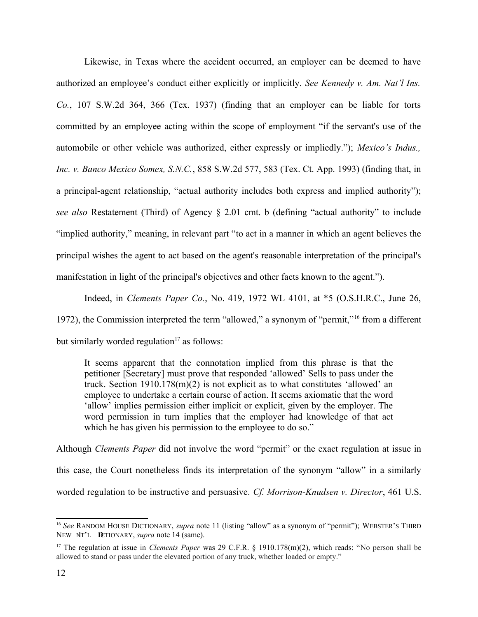Likewise, in Texas where the accident occurred, an employer can be deemed to have authorized an employee's conduct either explicitly or implicitly. *See Kennedy v. Am. Nat'l Ins. Co.*, 107 S.W.2d 364, 366 (Tex. 1937) (finding that an employer can be liable for torts committed by an employee acting within the scope of employment "if the servant's use of the automobile or other vehicle was authorized, either expressly or impliedly."); *Mexico's Indus., Inc. v. Banco Mexico Somex, S.N.C.*, 858 S.W.2d 577, 583 (Tex. Ct. App. 1993) (finding that, in a principal-agent relationship, "actual authority includes both express and implied authority");  *see also* Restatement (Third) of Agency § 2.01 cmt. b (defining "actual authority" to include "implied authority," meaning, in relevant part "to act in a manner in which an agent believes the principal wishes the agent to act based on the agent's reasonable interpretation of the principal's manifestation in light of the principal's objectives and other facts known to the agent.").

 Indeed, in *Clements Paper Co.*, No. 419, 1972 WL 4101, at \*5 (O.S.H.R.C., June 26, 1972), the Commission interpreted the term "allowed," a synonym of "permit,"<sup>16</sup> from a different but similarly worded regulation $17$  as follows:

<span id="page-11-2"></span><span id="page-11-0"></span> It seems apparent that the connotation implied from this phrase is that the petitioner [Secretary] must prove that responded 'allowed' Sells to pass under the truck. Section 1910.178(m)(2) is not explicit as to what constitutes 'allowed' an employee to undertake a certain course of action. It seems axiomatic that the word 'allow' implies permission either implicit or explicit, given by the employer. The word permission in turn implies that the employer had knowledge of that act which he has given his permission to the employee to do so."

 Although *Clements Paper* did not involve the word "permit" or the exact regulation at issue in this case, the Court nonetheless finds its interpretation of the synonym "allow" in a similarly worded regulation to be instructive and persuasive. *Cf. Morrison-Knudsen v. Director*, 461 U.S.

<span id="page-11-1"></span> [16](#page-11-0) *See* RANDOM HOUSE DICTIONARY, *supra* note 11 (listing "allow" as a synonym of "permit"); WEBSTER'S THIRD NEW NT'L DUTIONARY, *supra* note 14 (same).

<span id="page-11-3"></span> [17](#page-11-2) The regulation at issue in *Clements Paper* was 29 C.F.R. § 1910.178(m)(2), which reads: "No person shall be allowed to stand or pass under the elevated portion of any truck, whether loaded or empty."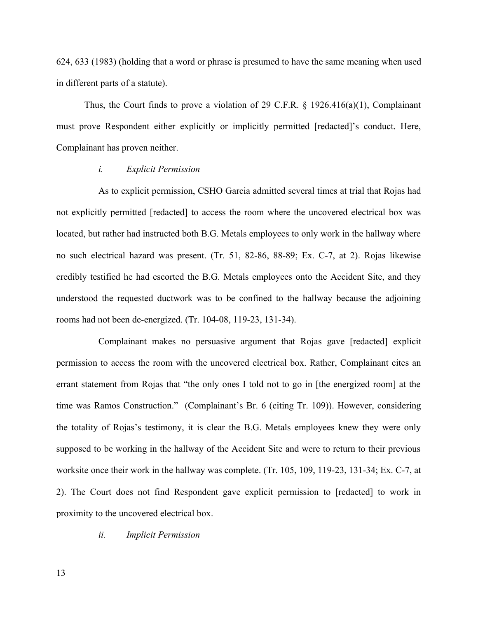624, 633 (1983) (holding that a word or phrase is presumed to have the same meaning when used in different parts of a statute).

Thus, the Court finds to prove a violation of 29 C.F.R.  $\S$  1926.416(a)(1), Complainant must prove Respondent either explicitly or implicitly permitted [redacted]'s conduct. Here, Complainant has proven neither.

#### *i. Explicit Permission*

 As to explicit permission, CSHO Garcia admitted several times at trial that Rojas had not explicitly permitted [redacted] to access the room where the uncovered electrical box was located, but rather had instructed both B.G. Metals employees to only work in the hallway where no such electrical hazard was present. (Tr. 51, 82-86, 88-89; Ex. C-7, at 2). Rojas likewise credibly testified he had escorted the B.G. Metals employees onto the Accident Site, and they understood the requested ductwork was to be confined to the hallway because the adjoining rooms had not been de-energized. (Tr. 104-08, 119-23, 131-34).

 Complainant makes no persuasive argument that Rojas gave [redacted] explicit permission to access the room with the uncovered electrical box. Rather, Complainant cites an errant statement from Rojas that "the only ones I told not to go in [the energized room] at the time was Ramos Construction." (Complainant's Br. 6 (citing Tr. 109)). However, considering the totality of Rojas's testimony, it is clear the B.G. Metals employees knew they were only supposed to be working in the hallway of the Accident Site and were to return to their previous worksite once their work in the hallway was complete. (Tr. 105, 109, 119-23, 131-34; Ex. C-7, at 2). The Court does not find Respondent gave explicit permission to [redacted] to work in proximity to the uncovered electrical box.

# *ii. Implicit Permission*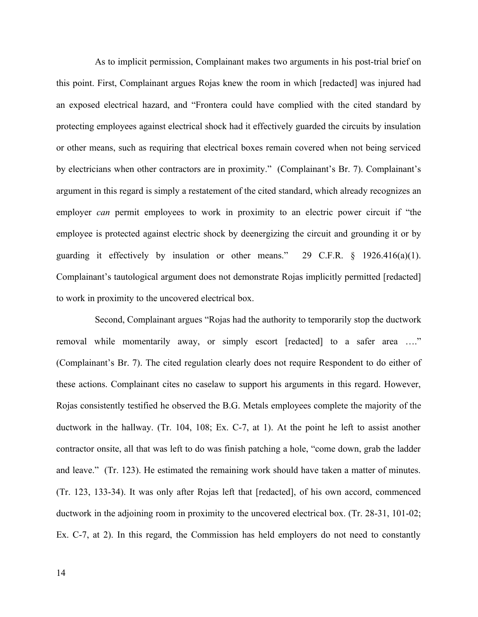As to implicit permission, Complainant makes two arguments in his post-trial brief on this point. First, Complainant argues Rojas knew the room in which [redacted] was injured had an exposed electrical hazard, and "Frontera could have complied with the cited standard by protecting employees against electrical shock had it effectively guarded the circuits by insulation or other means, such as requiring that electrical boxes remain covered when not being serviced by electricians when other contractors are in proximity." (Complainant's Br. 7). Complainant's employer *can* permit employees to work in proximity to an electric power circuit if "the employee is protected against electric shock by deenergizing the circuit and grounding it or by guarding it effectively by insulation or other means." 29 C.F.R.  $\S$  1926.416(a)(1). Complainant's tautological argument does not demonstrate Rojas implicitly permitted [redacted] argument in this regard is simply a restatement of the cited standard, which already recognizes an to work in proximity to the uncovered electrical box.

 Second, Complainant argues "Rojas had the authority to temporarily stop the ductwork removal while momentarily away, or simply escort [redacted] to a safer area …." (Complainant's Br. 7). The cited regulation clearly does not require Respondent to do either of these actions. Complainant cites no caselaw to support his arguments in this regard. However, Rojas consistently testified he observed the B.G. Metals employees complete the majority of the ductwork in the hallway. (Tr. 104, 108; Ex. C-7, at 1). At the point he left to assist another contractor onsite, all that was left to do was finish patching a hole, "come down, grab the ladder and leave." (Tr. 123). He estimated the remaining work should have taken a matter of minutes. (Tr. 123, 133-34). It was only after Rojas left that [redacted], of his own accord, commenced ductwork in the adjoining room in proximity to the uncovered electrical box. (Tr. 28-31, 101-02; Ex. C-7, at 2). In this regard, the Commission has held employers do not need to constantly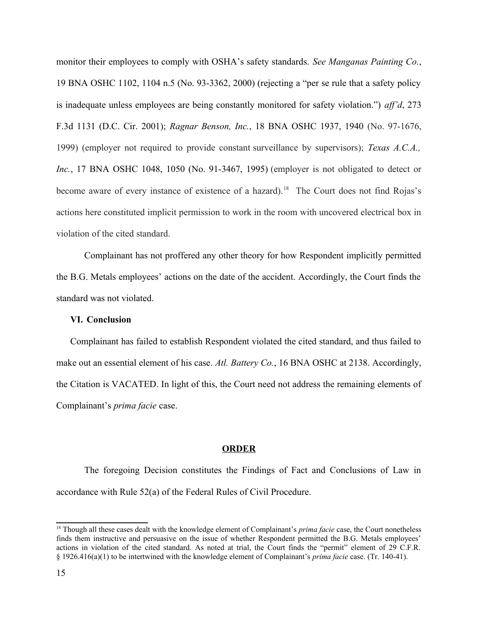monitor their employees to comply with OSHA's safety standards. *See Manganas Painting Co.*, 19 BNA OSHC 1102, 1104 n.5 (No. 93-3362, 2000) (rejecting a "per se rule that a safety policy is inadequate unless employees are being constantly monitored for safety violation.") *aff'd*, 273 F.3d 1131 (D.C. Cir. 2001); *Ragnar Benson, Inc.*, 18 BNA OSHC 1937, 1940 (No. 97-1676, 1999) (employer not required to provide constant surveillance by supervisors); *Texas A.C.A., Inc.*, 17 BNA OSHC 1048, 1050 (No. 91-3467, 1995) (employer is not obligated to detect or become aware of every instance of existence of a hazard).<sup>[18](#page-14-1)</sup> The Court does not find Rojas's actions here constituted implicit permission to work in the room with uncovered electrical box in violation of the cited standard.

<span id="page-14-0"></span> Complainant has not proffered any other theory for how Respondent implicitly permitted the B.G. Metals employees' actions on the date of the accident. Accordingly, the Court finds the standard was not violated.

#### **VI. Conclusion**

 Complainant has failed to establish Respondent violated the cited standard, and thus failed to the Citation is VACATED. In light of this, the Court need not address the remaining elements of make out an essential element of his case. *Atl. Battery Co.*, 16 BNA OSHC at 2138. Accordingly, Complainant's *prima facie* case.

#### **ORDER**

 The foregoing Decision constitutes the Findings of Fact and Conclusions of Law in accordance with Rule 52(a) of the Federal Rules of Civil Procedure.

<span id="page-14-1"></span> finds them instructive and persuasive on the issue of whether Respondent permitted the B.G. Metals employees' actions in violation of the cited standard. As noted at trial, the Court finds the "permit" element of 29 C.F.R. <sup>18</sup> Though all these cases dealt with the knowledge element of Complainant's *prima facie* case, the Court nonetheless § 1926.416(a)(1) to be intertwined with the knowledge element of Complainant's *prima facie* case. (Tr. 140-41).